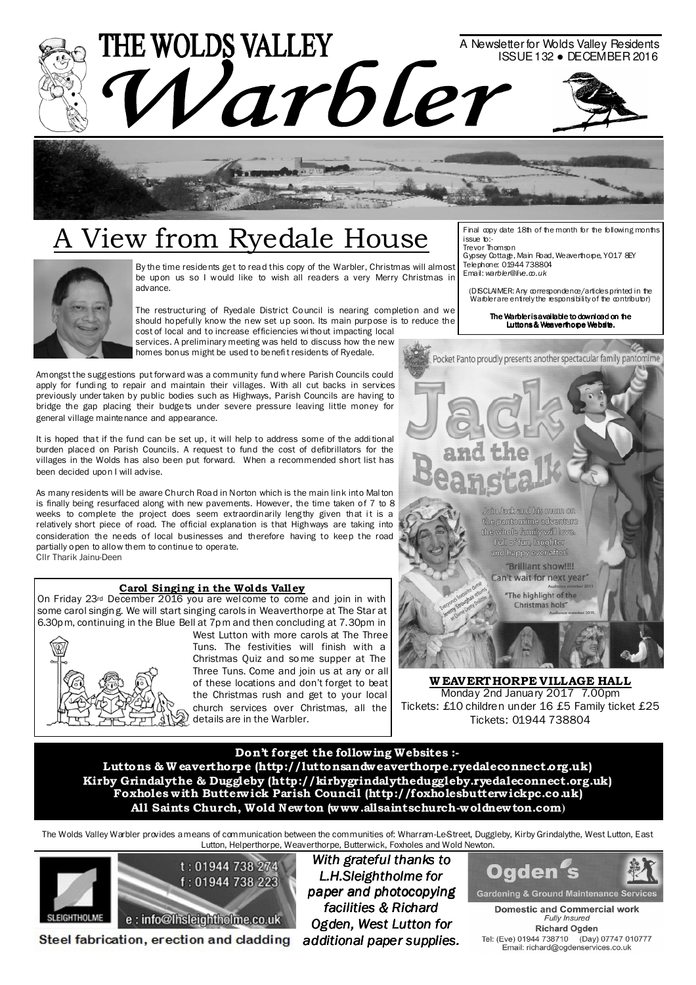



# A View from Ryedale House



By the time residents get to read this copy of the Warbler, Christmas will almost be upon us so I would like to wish all readers a very Merry Christmas in advance.

The restructuring of Ryedale District Council is nearing completion and we should hopefully know the new set up soon. Its main purpose is to reduce the cost of local and to increase efficiencies wi thout impacting local services. A preliminary meeting was held to discuss how the new homes bonus might be used to benefi t residents of Ryedale.

Amongst the sugg estions put forward was a community fund where Parish Councils could apply for funding to repair and maintain their villages. With all cut backs in services previously under taken by public bodies such as Highways, Parish Councils are having to bridge the gap placing their budgets under severe pressure leaving little money for general village maintenance and appearance.

It is hoped that if the fund can be set up, it will help to address some of the addi tional burden placed on Parish Councils. A request to fund the cost of defibrillators for the villages in the Wolds has also been put forward. When a recommended short list has been decided upon I will advise.

As many residents will be aware Church Road in Norton which is the main link into Mal ton is finally being resurfaced along with new pavements. However, the time taken of 7 to 8 weeks to complete the project does seem extraordinarily lengthy given that it is a relatively short piece of road. The official explanation is that Highways are taking into consideration the needs of local businesses and therefore having to keep the road partially open to allow them to continue to operate. Cllr Tharik Jainu-Deen

#### Carol Singing in the Wolds Valley

On Friday 23rd December 2016 you are welcome to come and join in with some carol singin g. We will start singing carols in Weaverthorpe at The Star at 6.30p m, continuing in the Blue Bell at 7p m and then concluding at 7.30pm in



West Lutton with more carols at The Three Tuns. The festivities will finish with a Christmas Quiz and so me supper at The Three Tuns. Come and join us at any or all of these locations and don't forget to beat the Christmas rush and get to your local church services over Christmas, all the details are in the Warbler.

Final copy date 18th of the month for the following months issue to:- Trevor Thomson

Gypsey Cottage, Main Road, Weaverthorpe, YO17 8EY Telephone: 01944 738804 Email: warbler@live.co.uk

(DISCLAIMER: Any correspondence/articles printed in the Warbler are entirely the responsibility of the contributor)

The Warbler is available to download on the Luttons & Weaverthorpe Website. Website.



ato farek and bûs roum on. the pantomime adventure the whole family will love.

Full of fun, laughter and happy ever after! "Brilliant show!!!!

Can't wait for next year"

The highlight of the Christmas hols'

WEAVERTHORPE VILLAGE HALL Monday 2nd January 2017 7.00pm Tickets: £10 children under 16 £5 Family ticket £25 Tickets: 01944 738804

#### Don't forget the follow ing Websites :-

Luttons & W eaverthorpe (http://luttonsandweaverthorpe.ryedaleconnect.org.uk) Kirby Grindalythe & Duggleby (http://kirbygrindalytheduggleby.ryedaleconnect.org.uk) Foxholes w ith Butterw ick Parish Council (http://foxholesbutterw ickpc.co.uk) All Saints Church, Wold Newton (www .allsaintschurch-woldnewton.com**)** 

The Wolds Valley Warbler provides a means of communication between the communities of: Wharram-Le-Street, Duggleby, Kirby Grindalythe, West Lutton, East Lutton, Helperthorpe, Weaverthorpe, Butterwick, Foxholes and Wold Newton.



Steel fabrication, erection and cladding

With grateful thanks to L.H.Sleightholme for paper and photocopying facilities & Richard Ogden, West Lutton for additional paper supplies.



**Domestic and Commercial work** Fully Insured **Richard Ogden** Tel: (Eve) 01944 738710 (Day) 07747 010777<br>Email: richard@ogdenservices.co.uk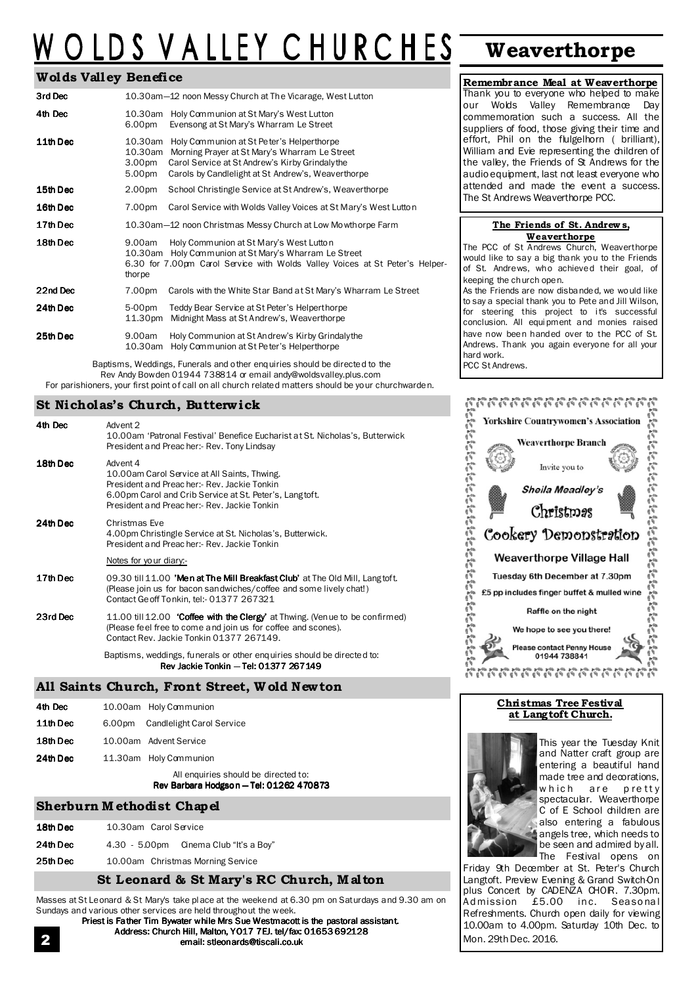# OLDS VALLEY CHURCHES Weaverthorpe

#### Wolds Valley Benefice

| 3rd Dec  |                                        | 10.30am-12 noon Messy Church at The Vicarage, West Lutton                                                                                                                                          |
|----------|----------------------------------------|----------------------------------------------------------------------------------------------------------------------------------------------------------------------------------------------------|
| 4th Dec  | 10.30am<br>6.00pm                      | Holy Communion at St Mary's West Lutton<br>Evensong at St Mary's Wharram Le Street                                                                                                                 |
| 11th Dec | 10.30am<br>10.30am<br>3.00pm<br>5.00pm | Holy Communion at St Peter's Helperthorpe<br>Morning Prayer at St Mary's Wharram Le Street<br>Carol Service at St Andrew's Kirby Grindalythe<br>Carols by Candlelight at St Andrew's, Weaverthorpe |
| 15th Dec | 2.00pm                                 | School Christingle Service at St Andrew's, Weaverthorpe                                                                                                                                            |
| 16th Dec | 7.00pm                                 | Carol Service with Wolds Valley Voices at St Mary's West Lutton                                                                                                                                    |
| 17th Dec |                                        | 10.30am-12 noon Christmas Messy Church at Low Mowthorpe Farm                                                                                                                                       |
| 18th Dec | 9.00am<br>10.30am<br>thorpe            | Holy Communion at St Mary's West Lutton<br>Holy Communion at St Mary's Wharram Le Street<br>6.30 for 7.00pm Carol Service with Wolds Valley Voices at St Peter's Helper-                           |
| 22nd Dec | 7.00pm                                 | Carols with the White Star Band at St Mary's Wharram Le Street                                                                                                                                     |
| 24th Dec | 5-00pm<br>11.30pm                      | Teddy Bear Service at St Peter's Helperthorpe<br>Midnight Mass at St Andrew's, Weaverthorpe                                                                                                        |
| 25th Dec | 9.00am<br>10.30am                      | Holy Communion at St Andrew's Kirby Grindalythe<br>Holy Communion at St Peter's Helperthorpe                                                                                                       |

Baptisms, Weddings, Funerals and other enquiries should be directed to the Rev Andy Bowden 01944 738814 or email andy@woldsvalley.plus.com For parishioners, your first point of call on all church related matters should be your churchwarden.

#### St Nicholas's Church, Butterw ick

| 4th Dec  | Advent 2<br>10.00am 'Patronal Festival' Benefice Eucharist at St. Nicholas's, Butterwick<br>President and Preacher:- Rev. Tony Lindsay                                                                            |
|----------|-------------------------------------------------------------------------------------------------------------------------------------------------------------------------------------------------------------------|
| 18th Dec | Advent 4<br>10.00am Carol Service at All Saints, Thwing.<br>President and Preacher:- Rev. Jackie Tonkin<br>6.00pm Carol and Crib Service at St. Peter's, Langtoft.<br>President and Preacher:- Rev. Jackie Tonkin |
| 24th Dec | Christmas Eve<br>4.00pm Christingle Service at St. Nicholas's, Butterwick.<br>President and Preacher:- Rev. Jackie Tonkin                                                                                         |
|          | Notes for your diary:-                                                                                                                                                                                            |
| 17th Dec | 09.30 till 11.00 'Men at The Mill Breakfast Club' at The Old Mill, Langtoft.<br>(Please join us for bacon sandwiches/coffee and some lively chat!)<br>Contact Ge off Tonkin, tel: - 01377 267321                  |
| 23rd Dec | 11.00 till 12.00 <b>Coffee with the Clergy'</b> at Thwing. (Venue to be confirmed)<br>(Please feel free to come and join us for coffee and scones).<br>Contact Rev. Jackie Tonkin 01377 267149.                   |
|          | Baptisms, weddings, funerals or other enguiries should be directed to:<br>Rev Jackie Tonkin - Tel: 01377 267149                                                                                                   |
|          |                                                                                                                                                                                                                   |

### All Saints Church, Front Street, W old Newton

| 11th Dec | 6.00pm | 10.00am Holy Communion<br>Candlelight Carol Service                         |
|----------|--------|-----------------------------------------------------------------------------|
| 18th Dec |        | 10.00am Advent Service                                                      |
| 24th Dec |        | 11.30am Holy Communion                                                      |
|          |        | All enquiries should be directed to:<br>Rev Barbara Hodgson - Tel: 01262 47 |

#### Sherburn M ethodist Chapel

| 18th Dec<br>10.30am Carol Service |  |
|-----------------------------------|--|
|-----------------------------------|--|

- 24th Dec 4.30 5.00pm Cinema Club "It's a Boy"
- 25th Dec 10.00am Christmas Morning Service

## St Leonard & St Mary's RC Church, M al ton

01262 470873

Masses at St Leonard & St Mary's take pl ace at the weekend at 6.30 pm on Saturdays and 9.30 am on Sundays and various other services are held throughout the week.

Priest is Father Tim Bywater while Mrs Sue Westmacott is the pastoral assistant. Address: Church Hill, Malton, Y017 7EJ. tel/fax: 01653 692128 email: stleonards@tiscali.co.uk

Remembrance Meal at Weaverthorpe Thank you to everyone who helped to make our Wolds Valley Remembrance Day commemoration such a success. All the suppliers of food, those giving their time and effort, Phil on the flulgelhorn ( brilliant), William and Evie representing the children of the valley, the Friends of St Andrews for the audio equipment, last not least everyone who attended and made the event a success. The St Andrews Weaverthorpe PCC.

#### The Friends of St. Andrew s, Weaverthorpe

The PCC of St Andrews Church, Weaverthorpe would like to say a big thank you to the Friends of St. Andrews, who achieved their goal, of keeping the church open.

As the Friends are now disbanded, we would like to say a special thank you to Pete and Jill Wilson, for steering this project to it's successful conclusion. All equi pment and monies raised have now been handed over to the PCC of St. Andrews. Thank you again everyone for all your hard work. PCC St Andrews.



#### Christmas Tree Festival at Langtoft Church.



This year the Tuesday Knit and Natter craft group are entering a beautiful hand made tree and decorations, which are pretty spectacular. Weaverthorpe C of E School children are also entering a fabulous angels tree, which needs to be seen and admired by all. The Festival opens on

Friday 9th December at St. Peter's Church Langtoft. Preview Evening & Grand Switch-On plus Concert by CADENZA CHOIR. 7.30pm. Admission £5.00 inc. Seasonal Refreshments. Church open daily for viewing 10.00am to 4.00pm. Saturday 10th Dec. to Mon. 29th Dec. 2016.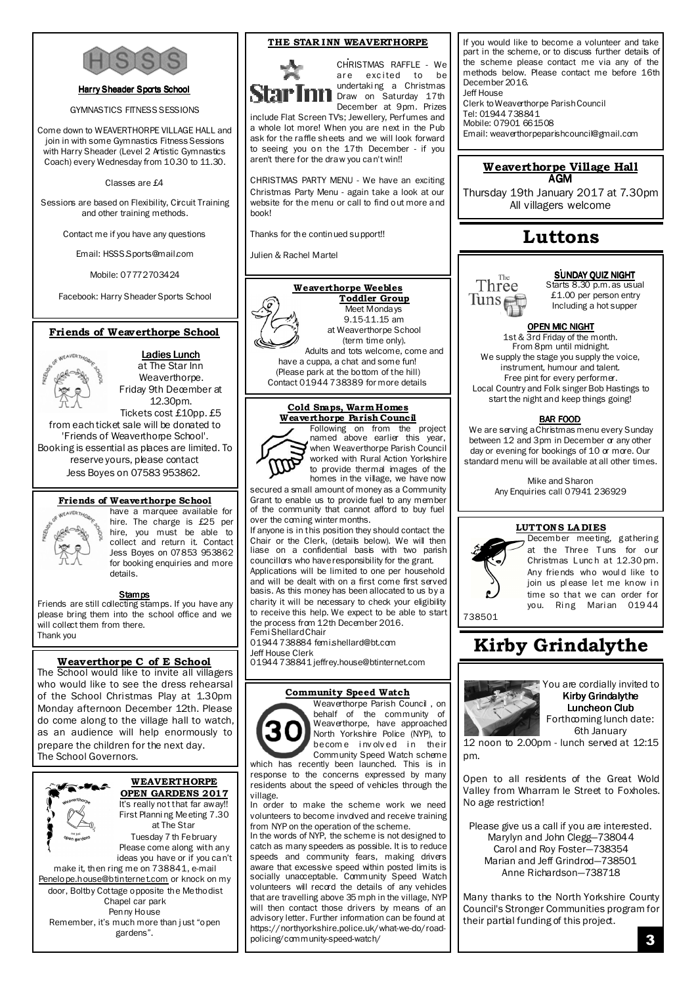

#### Harry Sheader Sports School

GYMNASTICS FITNESS SESSIONS

Come down to WEAVERTHORPE VILLAGE HALL and join in with some Gymnastics Fitness Sessions with Harry Sheader (Level 2 Artistic Gymnastics Coach) every Wednesday from 10.30 to 11.30.

Classes are £4

Sessions are based on Flexibility, Circuit Training and other training methods.

Contact me if you have any questions

Email: HSSS.Sports@mail.com

Mobile: 07772703424

Facebook: Harry Sheader Sports School

#### Friends of Weaverthorpe School

### Ladies Lunch

at The Star Inn Weaverthorpe. Friday 9th December at

12.30pm. Tickets cost £10pp. £5 from each ticket sale will be donated to 'Friends of Weaverthorpe School'. Booking is essential as places are limited. To reserve yours, please contact Jess Boyes on 07583 953862.

#### Friends of Weaverthorpe School



have a marquee available for hire. The charge is £25 per hire, you must be able to collect and return it. Contact Jess Boyes on 07853 953862 for booking enquiries and more details.

**Stamps**<br>Friends are still collecting stamps. If you have any please bring them into the school office and we will collect them from there. Thank you

#### Weaverthorpe C of E School

The School would like to invite all villagers who would like to see the dress rehearsal of the School Christmas Play at 1.30pm Monday afternoon December 12th. Please do come along to the village hall to watch, as an audience will help enormously to prepare the children for the next day. The School Governors.



WEAVERTHORPE OPEN GARDENS 2017

First Planni ng Meeting 7.30 at The Star Tuesday 7 th February

Please come along with any ideas you have or if you can't

make it, then ring me on 738841, e-mail Penelope.house@btinternet.com or knock on my door, Boltby Cottage opposite the Methodist Chapel car park

Penny House

Remember, it's much more than j ust "open gardens".

#### THE STAR INN WEAVERTHORPE



CHRISTMAS RAFFLE - We are excited to be undertaki ng a Christmas Draw on Saturday 17th December at 9pm. Prizes

include Flat Screen TV's; Jewellery, Perfumes and a whole lot more! When you are next in the Pub ask for the raffle sheets and we will look forward to seeing you on the 17th December - if you aren't there for the draw you can't win!!

CHRISTMAS PARTY MENU - We have an exciting Christmas Party Menu - again take a look at our website for the menu or call to find out more and book!

Thanks for the continued support!!

Julien & Rachel Martel



Toddler Group Meet Mondays 9.15-11.15 am at Weaverthorpe School (term time only).

Adults and tots welcome, come and have a cuppa, a chat and some fun! (Please park at the bottom of the hill) Contact 01944 738389 for more details

#### Cold Snaps, Warm Homes Weaverthorpe Parish Council



Following on from the project named above earlier this year, when Weaverthorpe Parish Council worked with Rural Action Yorkshire to provide thermal images of the homes in the village, we have now

secured a small amount of money as a Community Grant to enable us to provide fuel to any member of the community that cannot afford to buy fuel over the coming winter months.

If anyone is in this position they should contact the Chair or the Clerk, (details below). We will then liase on a confidential basis with two parish councillors who have responsibility for the grant.

Applications will be limited to one per household and will be dealt with on a first come first served basis. As this money has been allocated to us by a charity it will be necessary to check your eligibility to receive this help. We expect to be able to start the process from 12th December 2016. Femi Shellard Chair

01944 738884 femi.shellard@bt.com Jeff House Clerk

01944 738841 jeffrey.house@btinternet.com

#### Community Speed Watch



Weaverthorpe Parish Council , on behalf of the community of Weaverthorpe, have approached North Yorkshire Police (NYP), to become involved in their Community Speed Watch scheme which has recently been launched. This is in

response to the concerns expressed by many residents about the speed of vehicles through the village.

In order to make the scheme work we need volunteers to become involved and receive training from NYP on the operation of the scheme.

In the words of NYP, the scheme is not designed to catch as many speeders as possible. It is to reduce speeds and community fears, making drivers aware that excessive speed within posted limits is socially unacceptable. Community Speed Watch volunteers will record the details of any vehicles that are travelling above 35 mph in the village, NYP will then contact those drivers by means of an advisory letter. Further information can be found at https://northyorkshire.police.uk/what-we-do/roadpolicing/community-speed-watch/

If you would like to become a volunteer and take part in the scheme, or to discuss further details of the scheme please contact me via any of the methods below. Please contact me before 16th December 2016. Jeff House

Clerk to Weaverthorpe Parish Council Tel: 01944 738841 Mobile: 07901 661508 Email: weaverthorpeparishcouncil@gmail.com

#### Weaverthorpe Village Hall AGM

Thursday 19th January 2017 at 7.30pm All villagers welcome

## Luttons

The Three  $\frac{1}{1}$  in recently

SUNDAY QUIZ NIGHT Starts 8.30 p.m. as usual

£1.00 per person entry Including a hot supper

#### OPEN MIC NIGHT

1st & 3rd Friday of the month. From 8pm until midnight. We supply the stage you supply the voice, instrument, humour and talent. Free pint for every performer. Local Country and Folk singer Bob Hastings to start the night and keep things going!

#### BAR FOOD

We are serving a Christmas menu every Sunday between 12 and 3pm in December or any other day or evening for bookings of 10 or more. Our standard menu will be available at all other times.

> Mike and Sharon Any Enquiries call 07941 236929

#### LUTTONS LADIES



December meeting, gathering at the Three Tuns for our Christmas L unc h at 12.30 pm. Any friends who woul d like to join us please let me know in time so that we can order for you. Ring Marian 01944

Kirby Grindalythe



You are cordially invited to Kirby Grindalythe Luncheon Club Forthcoming lunch date: 6th January

12 noon to 2.00pm - lunch served at 12:15 pm.

Open to all residents of the Great Wold Valley from Wharram le Street to Foxholes. No age restriction!

Please give us a call if you are interested. Marylyn and John Clegg—738044 Carol and Roy Foster—738354 Marian and Jeff Grindrod—738501 Anne Richardson—738718

Many thanks to the North Yorkshire County Council's Stronger Communities program for their partial funding of this project.